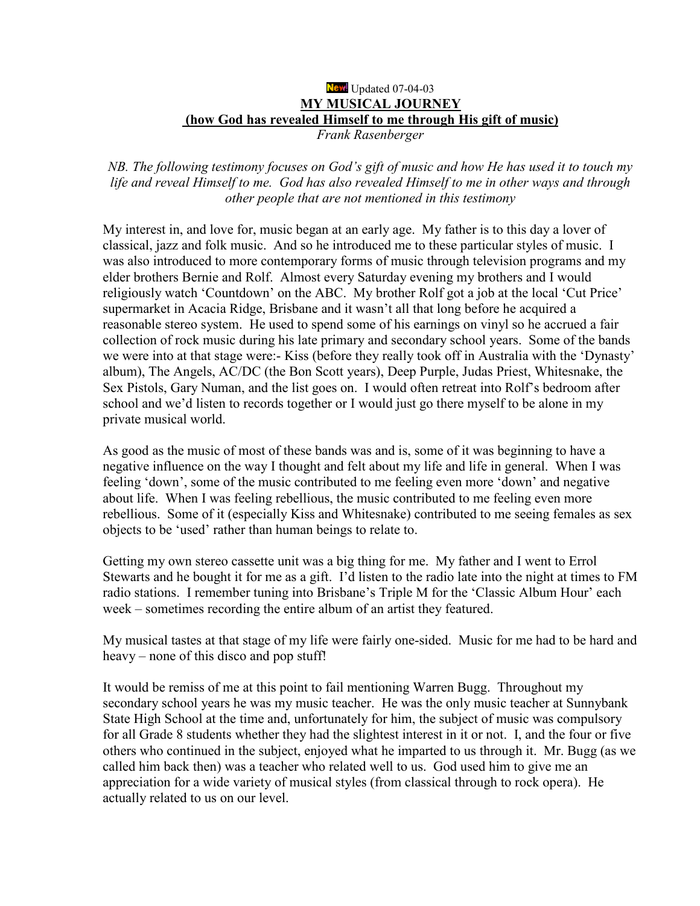## New Updated 07-04-03 **MY MUSICAL JOURNEY (how God has revealed Himself to me through His gift of music)**

Frank Rasenberger

NB. The following testimony focuses on God's gift of music and how He has used it to touch my life and reveal Himself to me. God has also revealed Himself to me in other ways and through other people that are not mentioned in this testimony

My interest in, and love for, music began at an early age. My father is to this day a lover of classical, jazz and folk music. And so he introduced me to these particular styles of music. I was also introduced to more contemporary forms of music through television programs and my elder brothers Bernie and Rolf. Almost every Saturday evening my brothers and I would religiously watch 'Countdown' on the ABC. My brother Rolf got a job at the local 'Cut Price' supermarket in Acacia Ridge, Brisbane and it wasn't all that long before he acquired a reasonable stereo system. He used to spend some of his earnings on vinyl so he accrued a fair collection of rock music during his late primary and secondary school years. Some of the bands we were into at that stage were:- Kiss (before they really took off in Australia with the 'Dynasty' album), The Angels, AC/DC (the Bon Scott years), Deep Purple, Judas Priest, Whitesnake, the Sex Pistols, Gary Numan, and the list goes on. I would often retreat into Rolf's bedroom after school and we'd listen to records together or I would just go there myself to be alone in my private musical world.

As good as the music of most of these bands was and is, some of it was beginning to have a negative influence on the way I thought and felt about my life and life in general. When I was feeling 'down', some of the music contributed to me feeling even more 'down' and negative about life. When I was feeling rebellious, the music contributed to me feeling even more rebellious. Some of it (especially Kiss and Whitesnake) contributed to me seeing females as sex objects to be 'used' rather than human beings to relate to.

Getting my own stereo cassette unit was a big thing for me. My father and I went to Errol Stewarts and he bought it for me as a gift. I'd listen to the radio late into the night at times to FM radio stations. I remember tuning into Brisbane's Triple M for the 'Classic Album Hour' each week – sometimes recording the entire album of an artist they featured.

My musical tastes at that stage of my life were fairly one-sided. Music for me had to be hard and heavy – none of this disco and pop stuff!

It would be remiss of me at this point to fail mentioning Warren Bugg. Throughout my secondary school years he was my music teacher. He was the only music teacher at Sunnybank State High School at the time and, unfortunately for him, the subject of music was compulsory for all Grade 8 students whether they had the slightest interest in it or not. I, and the four or five others who continued in the subject, enjoyed what he imparted to us through it. Mr. Bugg (as we called him back then) was a teacher who related well to us. God used him to give me an appreciation for a wide variety of musical styles (from classical through to rock opera). He actually related to us on our level.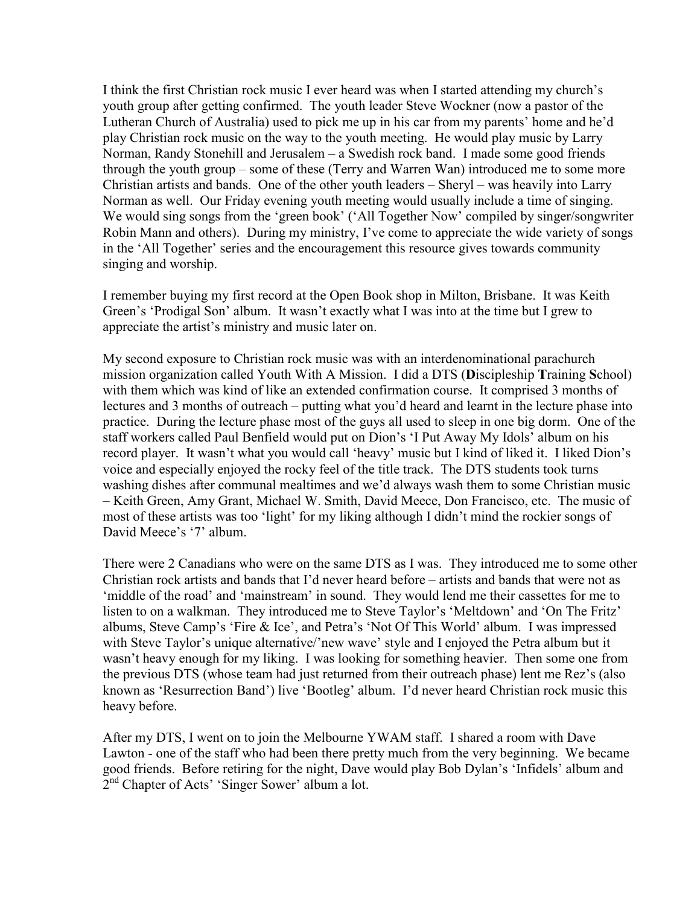I think the first Christian rock music I ever heard was when I started attending my church's youth group after getting confirmed. The youth leader Steve Wockner (now a pastor of the Lutheran Church of Australia) used to pick me up in his car from my parents' home and he'd play Christian rock music on the way to the youth meeting. He would play music by Larry Norman, Randy Stonehill and Jerusalem – a Swedish rock band. I made some good friends through the youth group  $-$  some of these (Terry and Warren Wan) introduced me to some more Christian artists and bands. One of the other youth leaders  $-$  Sheryl  $-$  was heavily into Larry Norman as well. Our Friday evening youth meeting would usually include a time of singing. We would sing songs from the 'green book' ('All Together Now' compiled by singer/songwriter Robin Mann and others). During my ministry, I've come to appreciate the wide variety of songs in the 'All Together' series and the encouragement this resource gives towards community singing and worship.

I remember buying my first record at the Open Book shop in Milton, Brisbane. It was Keith Green's 'Prodigal Son' album. It wasn't exactly what I was into at the time but I grew to appreciate the artist's ministry and music later on.

My second exposure to Christian rock music was with an interdenominational parachurch mission organization called Youth With A Mission. I did a DTS (**D**iscipleship **T**raining **S**chool) with them which was kind of like an extended confirmation course. It comprised 3 months of lectures and 3 months of outreach – putting what you'd heard and learnt in the lecture phase into practice. During the lecture phase most of the guys all used to sleep in one big dorm. One of the staff workers called Paul Benfield would put on Dion's 'I Put Away My Idols' album on his record player. It wasn't what you would call 'heavy' music but I kind of liked it. I liked Dion's voice and especially enjoyed the rocky feel of the title track. The DTS students took turns washing dishes after communal mealtimes and we'd always wash them to some Christian music – Keith Green, Amy Grant, Michael W. Smith, David Meece, Don Francisco, etc. The music of most of these artists was too 'light' for my liking although I didn't mind the rockier songs of David Meece's '7' album.

There were 2 Canadians who were on the same DTS as I was. They introduced me to some other Christian rock artists and bands that I'd never heard before  $-$  artists and bands that were not as ëmiddle of the roadí and ëmainstreamí in sound. They would lend me their cassettes for me to listen to on a walkman. They introduced me to Steve Taylor's 'Meltdown' and 'On The Fritz' albums, Steve Camp's 'Fire & Ice', and Petra's 'Not Of This World' album. I was impressed with Steve Taylor's unique alternative/'new wave' style and I enjoyed the Petra album but it wasn't heavy enough for my liking. I was looking for something heavier. Then some one from the previous DTS (whose team had just returned from their outreach phase) lent me Rez's (also known as 'Resurrection Band') live 'Bootleg' album. I'd never heard Christian rock music this heavy before.

After my DTS, I went on to join the Melbourne YWAM staff. I shared a room with Dave Lawton - one of the staff who had been there pretty much from the very beginning. We became good friends. Before retiring for the night, Dave would play Bob Dylan's 'Infidels' album and  $2<sup>nd</sup>$  Chapter of Acts' 'Singer Sower' album a lot.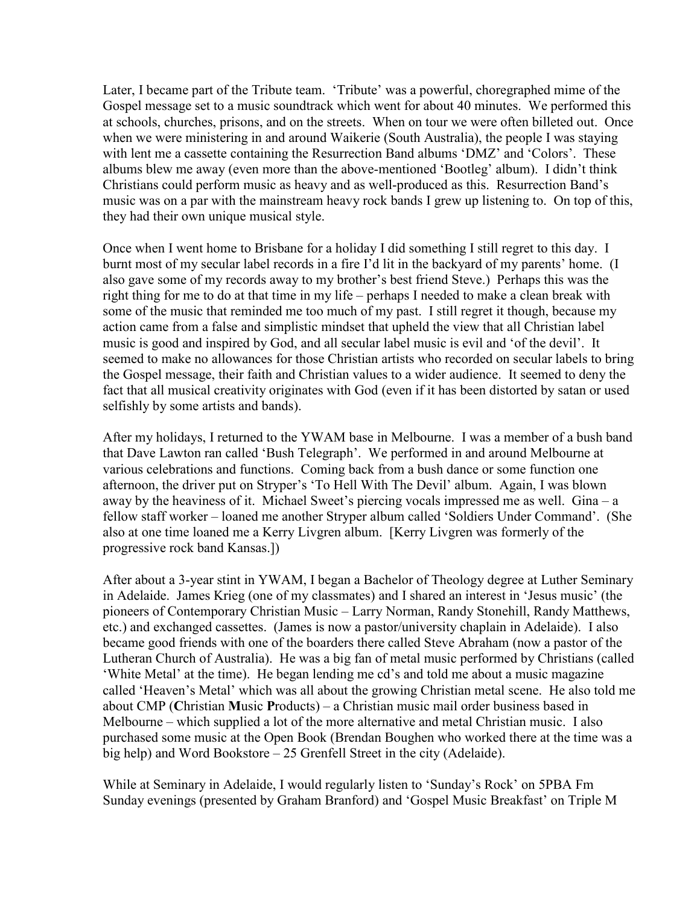Later, I became part of the Tribute team. 'Tribute' was a powerful, choregraphed mime of the Gospel message set to a music soundtrack which went for about 40 minutes. We performed this at schools, churches, prisons, and on the streets. When on tour we were often billeted out. Once when we were ministering in and around Waikerie (South Australia), the people I was staying with lent me a cassette containing the Resurrection Band albums 'DMZ' and 'Colors'. These albums blew me away (even more than the above-mentioned 'Bootleg' album). I didn't think Christians could perform music as heavy and as well-produced as this. Resurrection Band's music was on a par with the mainstream heavy rock bands I grew up listening to. On top of this, they had their own unique musical style.

Once when I went home to Brisbane for a holiday I did something I still regret to this day. I burnt most of my secular label records in a fire I'd lit in the backyard of my parents' home. (I also gave some of my records away to my brother's best friend Steve.) Perhaps this was the right thing for me to do at that time in my life  $-$  perhaps I needed to make a clean break with some of the music that reminded me too much of my past. I still regret it though, because my action came from a false and simplistic mindset that upheld the view that all Christian label music is good and inspired by God, and all secular label music is evil and 'of the devil'. It seemed to make no allowances for those Christian artists who recorded on secular labels to bring the Gospel message, their faith and Christian values to a wider audience. It seemed to deny the fact that all musical creativity originates with God (even if it has been distorted by satan or used selfishly by some artists and bands).

After my holidays, I returned to the YWAM base in Melbourne. I was a member of a bush band that Dave Lawton ran called 'Bush Telegraph'. We performed in and around Melbourne at various celebrations and functions. Coming back from a bush dance or some function one afternoon, the driver put on Stryper's 'To Hell With The Devil' album. Again, I was blown away by the heaviness of it. Michael Sweet's piercing vocals impressed me as well. Gina  $-a$ fellow staff worker – loaned me another Stryper album called 'Soldiers Under Command'. (She also at one time loaned me a Kerry Livgren album. [Kerry Livgren was formerly of the progressive rock band Kansas.])

After about a 3-year stint in YWAM, I began a Bachelor of Theology degree at Luther Seminary in Adelaide. James Krieg (one of my classmates) and I shared an interest in 'Jesus music' (the pioneers of Contemporary Christian Music – Larry Norman, Randy Stonehill, Randy Matthews, etc.) and exchanged cassettes. (James is now a pastor/university chaplain in Adelaide). I also became good friends with one of the boarders there called Steve Abraham (now a pastor of the Lutheran Church of Australia). He was a big fan of metal music performed by Christians (called 'White Metal' at the time). He began lending me cd's and told me about a music magazine called 'Heaven's Metal' which was all about the growing Christian metal scene. He also told me about CMP (Christian Music Products) – a Christian music mail order business based in Melbourne – which supplied a lot of the more alternative and metal Christian music. I also purchased some music at the Open Book (Brendan Boughen who worked there at the time was a big help) and Word Bookstore  $-25$  Grenfell Street in the city (Adelaide).

While at Seminary in Adelaide, I would regularly listen to 'Sunday's Rock' on 5PBA Fm Sunday evenings (presented by Graham Branford) and 'Gospel Music Breakfast' on Triple M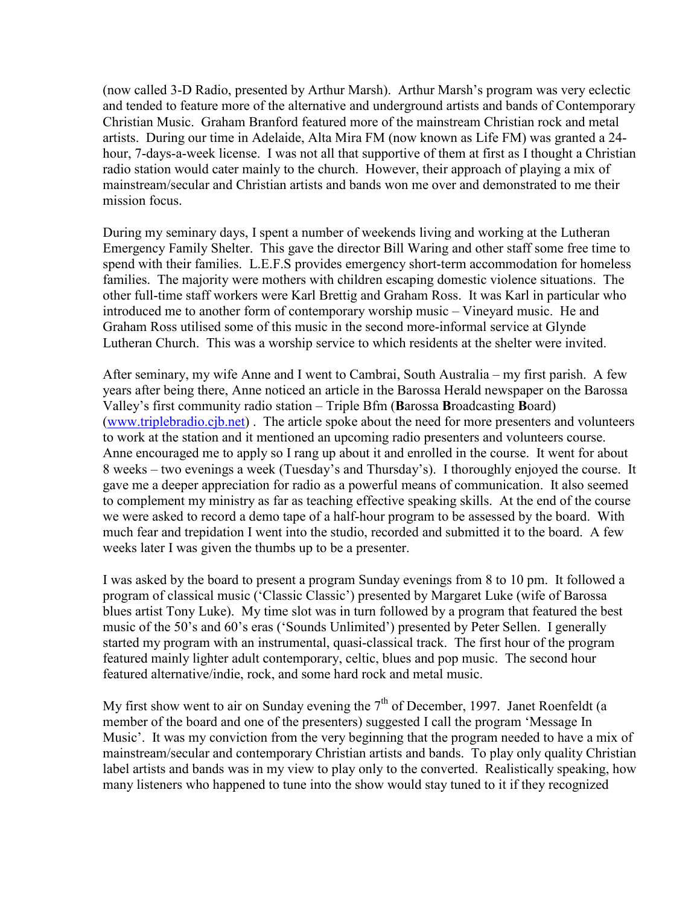(now called 3-D Radio, presented by Arthur Marsh). Arthur Marsh's program was very eclectic and tended to feature more of the alternative and underground artists and bands of Contemporary Christian Music. Graham Branford featured more of the mainstream Christian rock and metal artists. During our time in Adelaide, Alta Mira FM (now known as Life FM) was granted a 24 hour, 7-days-a-week license. I was not all that supportive of them at first as I thought a Christian radio station would cater mainly to the church. However, their approach of playing a mix of mainstream/secular and Christian artists and bands won me over and demonstrated to me their mission focus.

During my seminary days, I spent a number of weekends living and working at the Lutheran Emergency Family Shelter. This gave the director Bill Waring and other staff some free time to spend with their families. L.E.F.S provides emergency short-term accommodation for homeless families. The majority were mothers with children escaping domestic violence situations. The other full-time staff workers were Karl Brettig and Graham Ross. It was Karl in particular who introduced me to another form of contemporary worship music  $-$  Vineyard music. He and Graham Ross utilised some of this music in the second more-informal service at Glynde Lutheran Church. This was a worship service to which residents at the shelter were invited.

After seminary, my wife Anne and I went to Cambrai, South Australia  $-$  my first parish. A few years after being there, Anne noticed an article in the Barossa Herald newspaper on the Barossa Valley's first community radio station – Triple Bfm (**Barossa Broadcasting Board**) ([www.triplebradio.cjb.net](http://www.triplebradio.cjb.net/)) . The article spoke about the need for more presenters and volunteers to work at the station and it mentioned an upcoming radio presenters and volunteers course. Anne encouraged me to apply so I rang up about it and enrolled in the course. It went for about 8 weeks – two evenings a week (Tuesday's and Thursday's). I thoroughly enjoyed the course. It gave me a deeper appreciation for radio as a powerful means of communication. It also seemed to complement my ministry as far as teaching effective speaking skills. At the end of the course we were asked to record a demo tape of a half-hour program to be assessed by the board. With much fear and trepidation I went into the studio, recorded and submitted it to the board. A few weeks later I was given the thumbs up to be a presenter.

I was asked by the board to present a program Sunday evenings from 8 to 10 pm. It followed a program of classical music ('Classic Classic') presented by Margaret Luke (wife of Barossa blues artist Tony Luke). My time slot was in turn followed by a program that featured the best music of the 50's and 60's eras ('Sounds Unlimited') presented by Peter Sellen. I generally started my program with an instrumental, quasi-classical track. The first hour of the program featured mainly lighter adult contemporary, celtic, blues and pop music. The second hour featured alternative/indie, rock, and some hard rock and metal music.

My first show went to air on Sunday evening the  $7<sup>th</sup>$  of December, 1997. Janet Roenfeldt (a member of the board and one of the presenters) suggested I call the program 'Message In Music<sup>'</sup>. It was my conviction from the very beginning that the program needed to have a mix of mainstream/secular and contemporary Christian artists and bands. To play only quality Christian label artists and bands was in my view to play only to the converted. Realistically speaking, how many listeners who happened to tune into the show would stay tuned to it if they recognized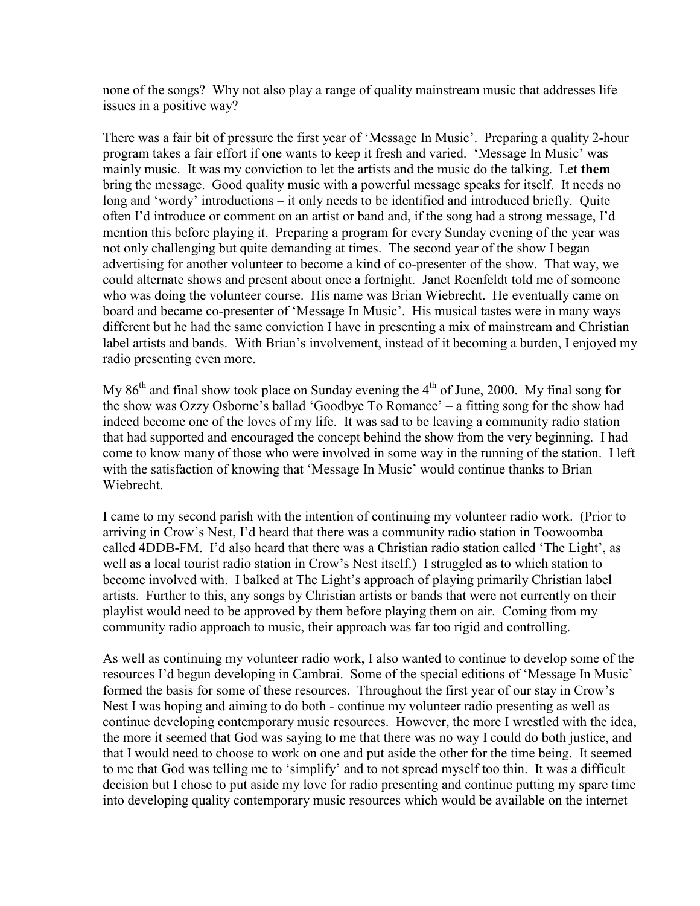none of the songs? Why not also play a range of quality mainstream music that addresses life issues in a positive way?

There was a fair bit of pressure the first year of 'Message In Music'. Preparing a quality 2-hour program takes a fair effort if one wants to keep it fresh and varied. 'Message In Music' was mainly music. It was my conviction to let the artists and the music do the talking. Let **them** bring the message. Good quality music with a powerful message speaks for itself. It needs no long and 'wordy' introductions – it only needs to be identified and introduced briefly. Quite often I'd introduce or comment on an artist or band and, if the song had a strong message, I'd mention this before playing it. Preparing a program for every Sunday evening of the year was not only challenging but quite demanding at times. The second year of the show I began advertising for another volunteer to become a kind of co-presenter of the show. That way, we could alternate shows and present about once a fortnight. Janet Roenfeldt told me of someone who was doing the volunteer course. His name was Brian Wiebrecht. He eventually came on board and became co-presenter of 'Message In Music'. His musical tastes were in many ways different but he had the same conviction I have in presenting a mix of mainstream and Christian label artists and bands. With Brian's involvement, instead of it becoming a burden, I enjoyed my radio presenting even more.

My 86<sup>th</sup> and final show took place on Sunday evening the  $4<sup>th</sup>$  of June, 2000. My final song for the show was Ozzy Osborne's ballad 'Goodbye To Romance' – a fitting song for the show had indeed become one of the loves of my life. It was sad to be leaving a community radio station that had supported and encouraged the concept behind the show from the very beginning. I had come to know many of those who were involved in some way in the running of the station. I left with the satisfaction of knowing that 'Message In Music' would continue thanks to Brian Wiebrecht.

I came to my second parish with the intention of continuing my volunteer radio work. (Prior to arriving in Crow's Nest, I'd heard that there was a community radio station in Toowoomba called 4DDB-FM. I'd also heard that there was a Christian radio station called 'The Light', as well as a local tourist radio station in Crow's Nest itself.) I struggled as to which station to become involved with. I balked at The Light's approach of playing primarily Christian label artists. Further to this, any songs by Christian artists or bands that were not currently on their playlist would need to be approved by them before playing them on air. Coming from my community radio approach to music, their approach was far too rigid and controlling.

As well as continuing my volunteer radio work, I also wanted to continue to develop some of the resources I'd begun developing in Cambrai. Some of the special editions of 'Message In Music' formed the basis for some of these resources. Throughout the first year of our stay in Crow's Nest I was hoping and aiming to do both - continue my volunteer radio presenting as well as continue developing contemporary music resources. However, the more I wrestled with the idea, the more it seemed that God was saying to me that there was no way I could do both justice, and that I would need to choose to work on one and put aside the other for the time being. It seemed to me that God was telling me to 'simplify' and to not spread myself too thin. It was a difficult decision but I chose to put aside my love for radio presenting and continue putting my spare time into developing quality contemporary music resources which would be available on the internet